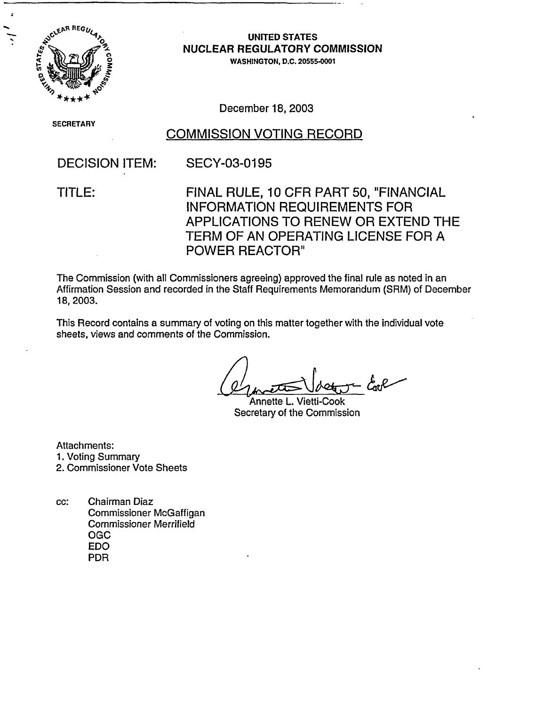

# LEAR REGULATED STATES **NUCLEAR REGULATORY COMMISSION**

WASHINGTON, D.C. 20555-0001

December 18, 2003

SECRETAR'

### COMMISSION VOTING RECORD

### DECISION ITEM: SECY-03-0195

TITLE: FINAL RULE, 10 CFR PART 50, "FINANCIAL INFORMATION REQUIREMENTS FOR APPLICATIONS TO RENEW OR EXTEND THE TERM OF AN OPERATING LICENSE FOR A POWER REACTOR"

The Commission (with all Commissioners agreeing) approved the final rule as noted in an Affirmation Session and recorded in the Staff Requirements Memorandum (SRM) of December 18, 2003.

This Record contains a summary of voting on this matter together with the individual vote sheets, views and comments of the Commission.

Annette L. Vietti-Cook Secretary of the Commission

Attachments: 1. Voting Summary 2. Commissioner Vote Sheets

cc: Chairman Diaz Commissioner McGaffigan Commissioner Merrifield OGC EDO PDR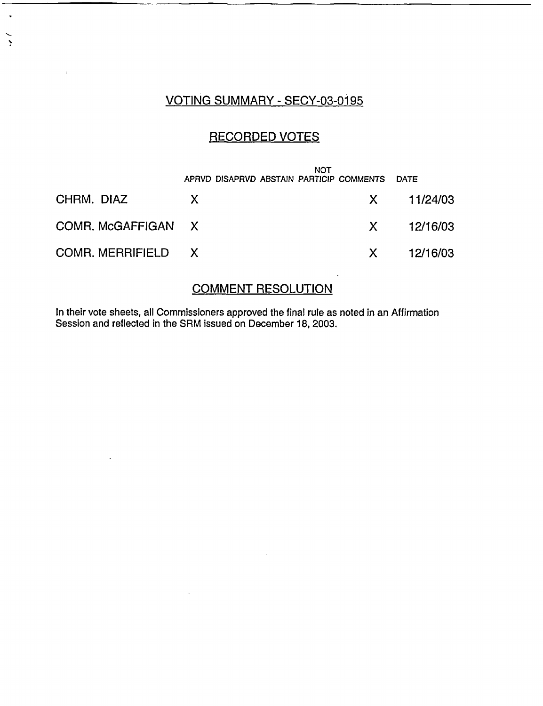#### VOTING SUMMARY - SECY-03-0195

 $\ddot{\phantom{0}}$ 

 $\ddot{\phantom{1}}$ 

 $\overline{1}$ 

#### RECORDED VOTES

|                    | APRVD DISAPRVD ABSTAIN PARTICIP COMMENTS DATE | NOT |                |
|--------------------|-----------------------------------------------|-----|----------------|
| CHRM. DIAZ         | X.                                            |     | $X = 11/24/03$ |
| COMR. McGAFFIGAN X |                                               |     | X 12/16/03     |
| COMR. MERRIFIELD X |                                               |     | $X = 12/16/03$ |

#### COMMENT RESOLUTION

In their vote sheets, all Commissioners approved the final rule as noted in an Affirmation Session and reflected in the SRM issued on December 18, 2003.

 $\bar{z}$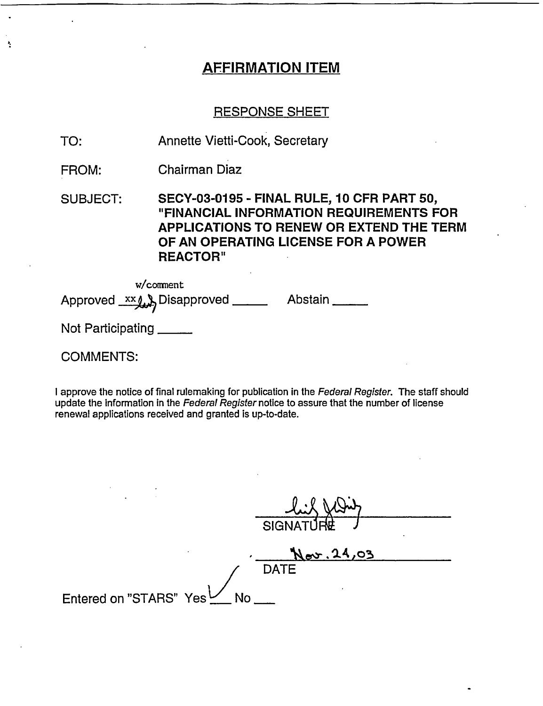## AFFIRMATION ITEM

#### RESPONSE SHEET

- TO: Annette Vietti-Cook, Secretary
- FROM: Chairman Diaz

SUBJECT: SECY-03-0195 - FINAL RULE, 10 CFR PART 50, "FINANCIAL INFORMATION REQUIREMENTS FOR APPLICATIONS TO RENEW OR EXTEND THE TERM OF AN OPERATING LICENSE FOR A POWER REACTOR"

w/conment Approved xx b Disapproved \_\_\_\_ Abstain \_\_\_\_

Not Participating \_\_\_\_\_

#### COMMENTS:

÷.

I approve the notice of final rulemaking for publication in the Federal Register. The staff should update the information in the Federal Register notice to assure that the number of license renewal applications received and granted is up-to-date.

**SIGNATURE** Nov. 24,03 **DATE** Entered on "STARS" Yes Mo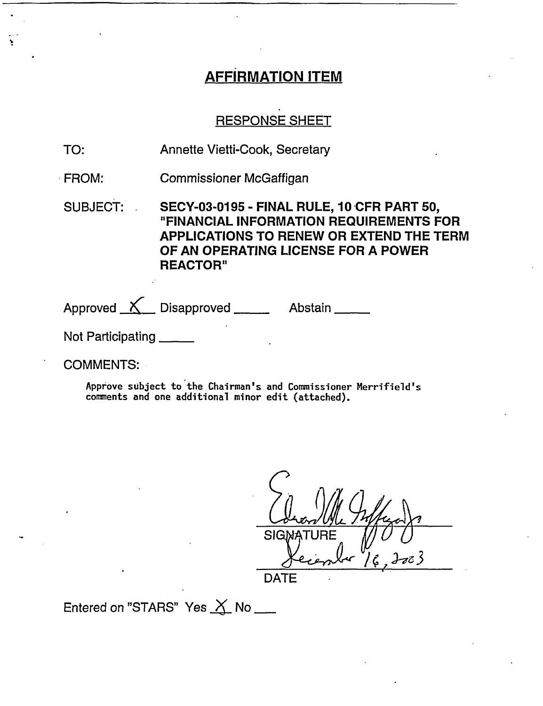## AFFIRMATION ITEM

### RESPONSE SHEET

- TO: Annette Vietti-Cook, Secretary
- FROM: Commissioner McGaffigan

SUBJECT: SECY-03-0195 - FINAL RULE, 10 CFR PART 50, "FINANCIAL INFORMATION REQUIREMENTS FOR APPLICATIONS TO RENEW OR EXTEND THE TERM OF AN OPERATING LICENSE FOR A POWER REACTOR"

Approved  $\overline{\mathcal{N}}$  Disapproved  $\overline{\mathcal{N}}$  Abstain  $\overline{\mathcal{N}}$ 

Not Participating

COMMENTS:

Approve subject to the Chairman's and Commissioner Merrifield's comments and one additional minor edit (attached).

**SIGN DATE** 

Entered on "STARS" Yes  $X$  No  $-$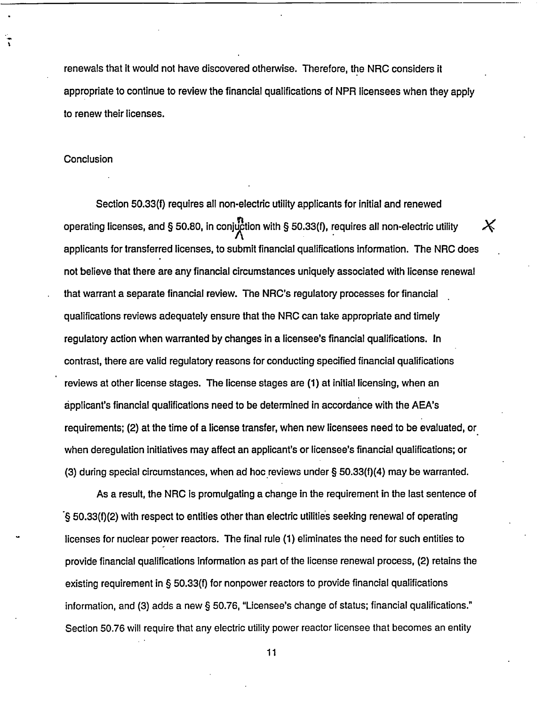renewals that it would not have discovered otherwise. Therefore, the NRC considers it appropriate to continue to review the financial qualifications of NPR licensees when they apply to renew their licenses.

#### **Conclusion**

ĩ

Section 50.33(f) requires all non-electric utility applicants for initial and renewed operating licenses, and § 50.80, in conjuction with § 50.33(f), requires all non-electric utility applicants for transferred licenses, to submit financial qualifications information. The NRC does not believe that there are any financial circumstances uniquely associated with license renewal that warrant a separate financial review. The NRC's regulatory processes for financial qualifications reviews adequately ensure that the NRC can take appropriate and timely regulatory action when warranted by changes in a licensee's financial qualifications. In contrast, there are valid regulatory reasons for conducting specified financial qualifications reviews at other license stages. The license stages are (1) at initial licensing, when an applicant's financial qualifications need to be determined in accordance with the AEA's requirements; (2) at the time of a license transfer, when new licensees need to be evaluated, or when deregulation initiatives may affect an applicant's or licensee's financial qualifications; or (3) during special circumstances, when ad hoc reviews under § 50.33(f)(4) may be warranted.

 $\pmb{\times}$ 

As a result, the NRC Is promulgating a change in the requirement in the last sentence of § 50.33(f)(2) with respect to entities other than electric utilities seeking renewal of operating licenses for nuclear power reactors. The final rule (1) eliminates the need for such entities to provide financial qualifications information as part of the license renewal process, (2) retains the existing requirement in § 50.33(f) for nonpower reactors to provide financial qualifications information, and (3) adds a new § 50.76, "Licensee's change of status; financial qualifications." Section 50.76 will require that any electric utility power reactor licensee that becomes an entity

11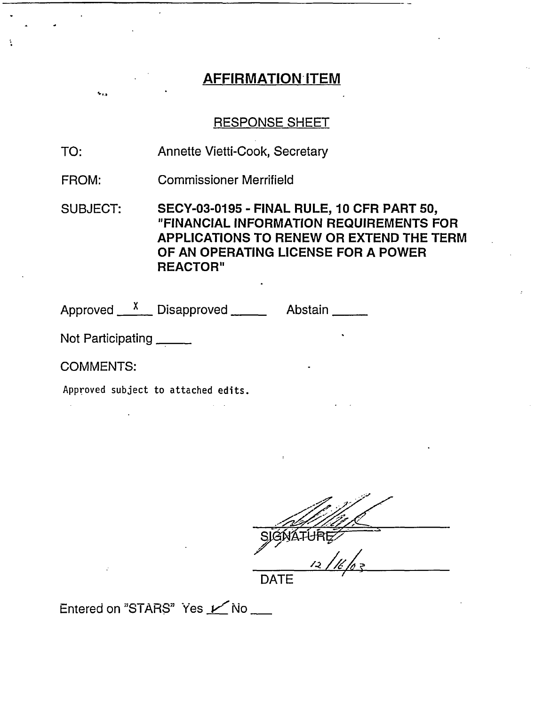### AFFIRMATION ITEM

#### RESPONSE SHEET

TO: Annette Vietti-Cook, Secretary

FROM: Commissioner Merrifield

SUBJECT: SECY-03-0195 - FINAL RULE, 10 CFR PART 50, "FINANCIAL INFORMATION REQUIREMENTS FOR APPLICATIONS TO RENEW OR EXTEND THE TERM OF AN OPERATING LICENSE FOR A POWER REACTOR"

Approved <u>Konen Disapproved</u> Manuel Abstair

Not Participating

COMMENTS:

Approved subject to attached edits.

SIGNATURE DATE

Entered on "STARS" Yes **M** No \_\_